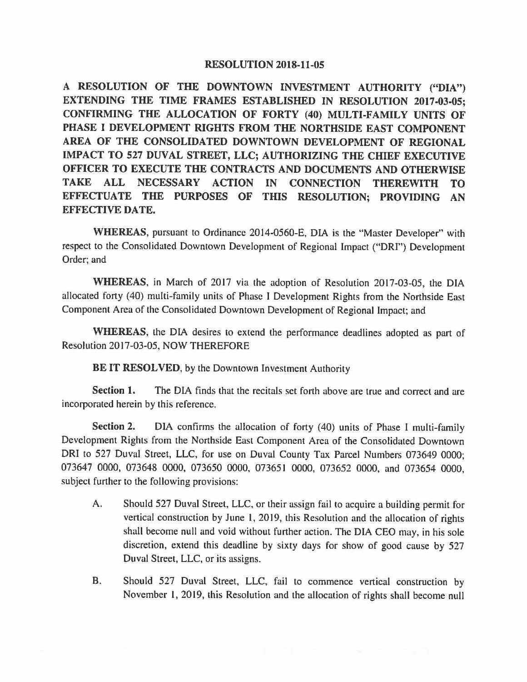## **RESOLUTION 2018-11-05**

**A RESOLUTION OF THE DOWNTOWN INVESTMENT AUTHORITY ("DIA") EXTENDING THE TIME FRAMES ESTABLISHED IN RESOLUTION 2017-03-05; CONFIRMING THE ALLOCATION OF FORTY (40) MULTI-FAMILY UNITS OF PHASE** I **DEVELOPMENT RIGHTS FROM THE NORTHSIDE EAST COMPONENT AREA OF THE CONSOLIDATED DOWNTOWN DEVELOPMENT OF REGIONAL IMPACT TO 527 DUVAL STREET, LLC; AUTHORIZING THE CHIEF EXECUTIVE OFFICER TO EXECUTE THE CONTRACTS AND DOCUMENTS AND OTHERWISE TAKE ALL NECESSARY ACTION IN CONNECTION THEREWITH TO EFFECTUATE THE PURPOSES OF THIS RESOLUTION; PROVIDING AN EFFECTIVE DATE.** 

**WHEREAS,** pursuant to Ordinance 2014-0560-E, DIA is the "Master Developer" with respect to the Consolidated Downtown Development of Regional Impact ("DRI") Development Order; and

**WHEREAS,** in March of 2017 via the adoption of Resolution 2017-03-05, the DIA allocated forty (40) multi-family units of Phase I Development Rights from the Northside East Component Area of the Consolidated Downtown Development of Regional Impact; and

**WHEREAS,** the DIA desires to extend the performance deadlines adopted as part of Resolution 2017-03-05, NOW THEREFORE

**BE IT RESOLVED,** by the Downtown Investment Authority

**Section 1.** The DIA finds that the recitals set forth above are true and correct and are incorporated herein by this reference.

**Section 2.** DIA confirms the allocation of forty (40) units of Phase I multi-family Development Rights from the Northside East Component Area of the Consolidated Downtown DRI to 527 Duval Street, LLC, for use on Duval County Tax Parcel Numbers 073649 0000: 073647 0000, 073648 0000, 073650 0000, 073651 0000, 073652 0000, and 073654 0000, subject further to the following provisions:

- A. Should 527 Duval Street, LLC, or their assign fail to acquire a building permit for vertical construction by June I, 2019, this Resolution and the allocation of rights shall become null and void without further action. The DIA CEO may, in his sole discretion, extend this deadline by sixty days for show of good cause by 527 Duval Street, LLC, or its assigns.
- B. Should 527 Duval Street, LLC, fail to commence vertical construction by November I, 2019, this Resolution and the allocation of rights shall become null